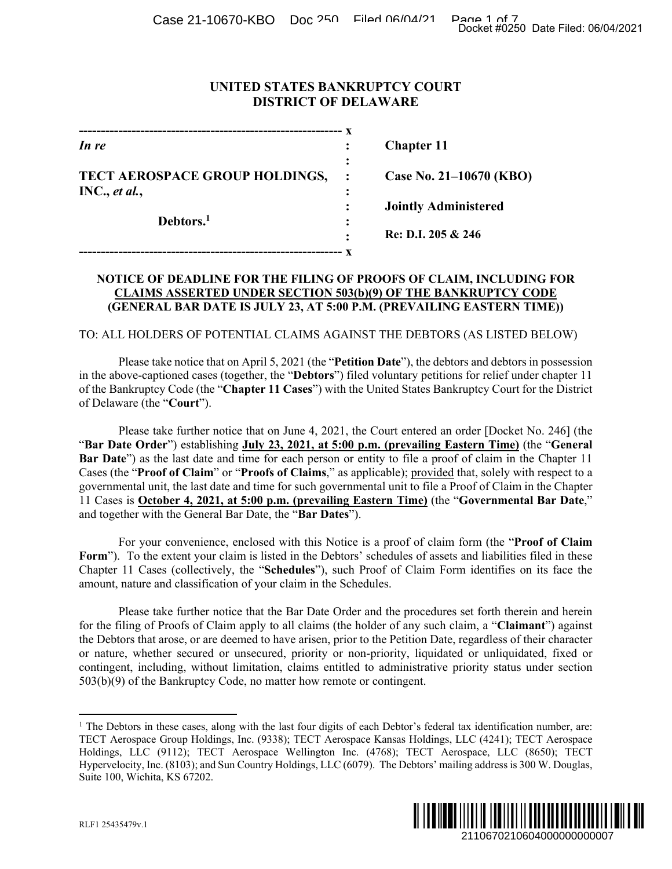Case 21-10670-KBO Doc 250 Filed 06/04/21 Page 1 of 7<br>Docket #0250 Date Filed: 06/04/2021

# **UNITED STATES BANKRUPTCY COURT DISTRICT OF DELAWARE**

| In re                                           |                | <b>Chapter 11</b>           |
|-------------------------------------------------|----------------|-----------------------------|
| TECT AEROSPACE GROUP HOLDINGS,<br>INC., et al., | $\ddot{\cdot}$ | Case No. 21–10670 (KBO)     |
| Debtors. <sup>1</sup>                           |                | <b>Jointly Administered</b> |
|                                                 |                | Re: D.I. 205 & 246          |
|                                                 |                |                             |

#### **NOTICE OF DEADLINE FOR THE FILING OF PROOFS OF CLAIM, INCLUDING FOR CLAIMS ASSERTED UNDER SECTION 503(b)(9) OF THE BANKRUPTCY CODE (GENERAL BAR DATE IS JULY 23, AT 5:00 P.M. (PREVAILING EASTERN TIME))**

TO: ALL HOLDERS OF POTENTIAL CLAIMS AGAINST THE DEBTORS (AS LISTED BELOW)

 Please take notice that on April 5, 2021 (the "**Petition Date**"), the debtors and debtors in possession in the above-captioned cases (together, the "**Debtors**") filed voluntary petitions for relief under chapter 11 of the Bankruptcy Code (the "**Chapter 11 Cases**") with the United States Bankruptcy Court for the District of Delaware (the "**Court**").

 Please take further notice that on June 4, 2021, the Court entered an order [Docket No. 246] (the "**Bar Date Order**") establishing **July 23, 2021, at 5:00 p.m. (prevailing Eastern Time)** (the "**General Bar Date**") as the last date and time for each person or entity to file a proof of claim in the Chapter 11 Cases (the "**Proof of Claim**" or "**Proofs of Claims**," as applicable); provided that, solely with respect to a governmental unit, the last date and time for such governmental unit to file a Proof of Claim in the Chapter 11 Cases is **October 4, 2021, at 5:00 p.m. (prevailing Eastern Time)** (the "**Governmental Bar Date**," and together with the General Bar Date, the "**Bar Dates**"). Docket #0250 Date Filed: 06/04/2021<br>
10670 (KBO)<br>
nistered<br>
246<br>
M, INCLUDING FOR<br>
EASTERN TIME)<br>
(AS LISTED BELOW)<br>
5 (AS LISTED BELOW)<br>
5 of relief under chapter 11<br>
stor relief under chapter 11<br>
ruptcy Court for the Dis

 For your convenience, enclosed with this Notice is a proof of claim form (the "**Proof of Claim**  Form"). To the extent your claim is listed in the Debtors' schedules of assets and liabilities filed in these Chapter 11 Cases (collectively, the "**Schedules**"), such Proof of Claim Form identifies on its face the amount, nature and classification of your claim in the Schedules.

 Please take further notice that the Bar Date Order and the procedures set forth therein and herein for the filing of Proofs of Claim apply to all claims (the holder of any such claim, a "**Claimant**") against the Debtors that arose, or are deemed to have arisen, prior to the Petition Date, regardless of their character or nature, whether secured or unsecured, priority or non-priority, liquidated or unliquidated, fixed or contingent, including, without limitation, claims entitled to administrative priority status under section 503(b)(9) of the Bankruptcy Code, no matter how remote or contingent.

<sup>&</sup>lt;sup>1</sup> The Debtors in these cases, along with the last four digits of each Debtor's federal tax identification number, are: TECT Aerospace Group Holdings, Inc. (9338); TECT Aerospace Kansas Holdings, LLC (4241); TECT Aerospace Holdings, LLC (9112); TECT Aerospace Wellington Inc. (4768); TECT Aerospace, LLC (8650); TECT Hypervelocity, Inc. (8103); and Sun Country Holdings, LLC (6079). The Debtors' mailing address is 300 W. Douglas, Suite 100, Wichita, KS 67202.



 $\overline{a}$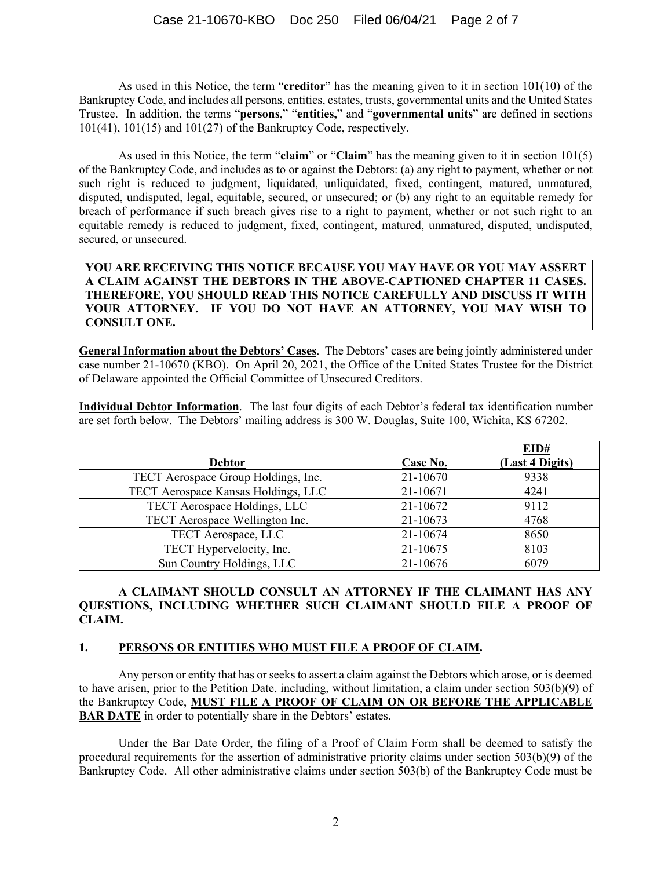As used in this Notice, the term "**creditor**" has the meaning given to it in section 101(10) of the Bankruptcy Code, and includes all persons, entities, estates, trusts, governmental units and the United States Trustee. In addition, the terms "**persons**," "**entities,**" and "**governmental units**" are defined in sections 101(41), 101(15) and 101(27) of the Bankruptcy Code, respectively.

 As used in this Notice, the term "**claim**" or "**Claim**" has the meaning given to it in section 101(5) of the Bankruptcy Code, and includes as to or against the Debtors: (a) any right to payment, whether or not such right is reduced to judgment, liquidated, unliquidated, fixed, contingent, matured, unmatured, disputed, undisputed, legal, equitable, secured, or unsecured; or (b) any right to an equitable remedy for breach of performance if such breach gives rise to a right to payment, whether or not such right to an equitable remedy is reduced to judgment, fixed, contingent, matured, unmatured, disputed, undisputed, secured, or unsecured.

**YOU ARE RECEIVING THIS NOTICE BECAUSE YOU MAY HAVE OR YOU MAY ASSERT A CLAIM AGAINST THE DEBTORS IN THE ABOVE-CAPTIONED CHAPTER 11 CASES. THEREFORE, YOU SHOULD READ THIS NOTICE CAREFULLY AND DISCUSS IT WITH YOUR ATTORNEY. IF YOU DO NOT HAVE AN ATTORNEY, YOU MAY WISH TO CONSULT ONE.** 

**General Information about the Debtors' Cases**. The Debtors' cases are being jointly administered under case number 21-10670 (KBO). On April 20, 2021, the Office of the United States Trustee for the District of Delaware appointed the Official Committee of Unsecured Creditors.

**Individual Debtor Information**. The last four digits of each Debtor's federal tax identification number are set forth below. The Debtors' mailing address is 300 W. Douglas, Suite 100, Wichita, KS 67202.

|                                     |          | EID#            |
|-------------------------------------|----------|-----------------|
| <b>Debtor</b>                       | Case No. | (Last 4 Digits) |
| TECT Aerospace Group Holdings, Inc. | 21-10670 | 9338            |
| TECT Aerospace Kansas Holdings, LLC | 21-10671 | 4241            |
| TECT Aerospace Holdings, LLC        | 21-10672 | 9112            |
| TECT Aerospace Wellington Inc.      | 21-10673 | 4768            |
| TECT Aerospace, LLC                 | 21-10674 | 8650            |
| TECT Hypervelocity, Inc.            | 21-10675 | 8103            |
| Sun Country Holdings, LLC           | 21-10676 | 6079            |

#### **A CLAIMANT SHOULD CONSULT AN ATTORNEY IF THE CLAIMANT HAS ANY QUESTIONS, INCLUDING WHETHER SUCH CLAIMANT SHOULD FILE A PROOF OF CLAIM.**

# **1. PERSONS OR ENTITIES WHO MUST FILE A PROOF OF CLAIM.**

Any person or entity that has or seeks to assert a claim against the Debtors which arose, or is deemed to have arisen, prior to the Petition Date, including, without limitation, a claim under section 503(b)(9) of the Bankruptcy Code, **MUST FILE A PROOF OF CLAIM ON OR BEFORE THE APPLICABLE BAR DATE** in order to potentially share in the Debtors' estates.

 Under the Bar Date Order, the filing of a Proof of Claim Form shall be deemed to satisfy the procedural requirements for the assertion of administrative priority claims under section 503(b)(9) of the Bankruptcy Code. All other administrative claims under section 503(b) of the Bankruptcy Code must be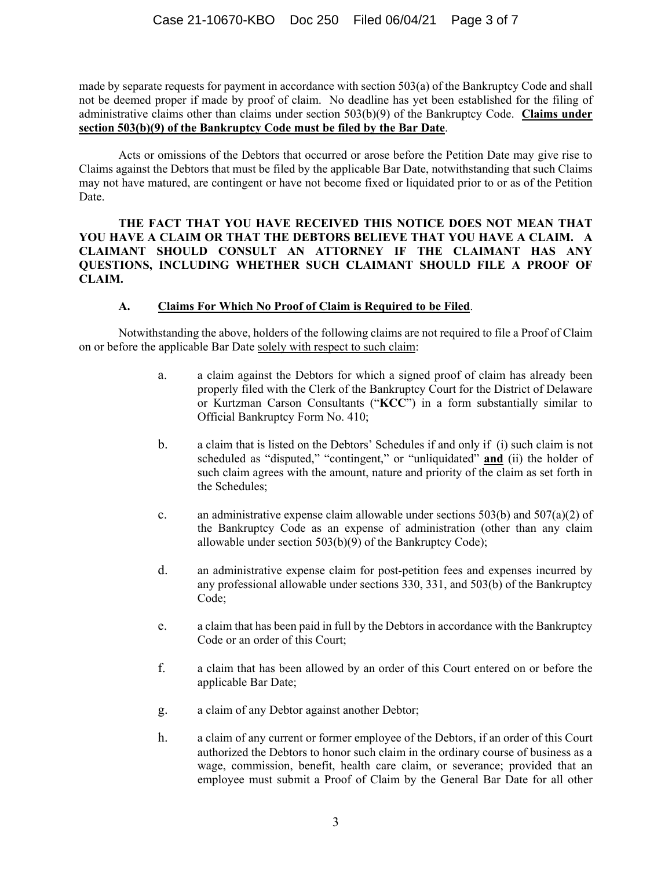made by separate requests for payment in accordance with section 503(a) of the Bankruptcy Code and shall not be deemed proper if made by proof of claim. No deadline has yet been established for the filing of administrative claims other than claims under section 503(b)(9) of the Bankruptcy Code. **Claims under section 503(b)(9) of the Bankruptcy Code must be filed by the Bar Date**.

 Acts or omissions of the Debtors that occurred or arose before the Petition Date may give rise to Claims against the Debtors that must be filed by the applicable Bar Date, notwithstanding that such Claims may not have matured, are contingent or have not become fixed or liquidated prior to or as of the Petition Date.

**THE FACT THAT YOU HAVE RECEIVED THIS NOTICE DOES NOT MEAN THAT YOU HAVE A CLAIM OR THAT THE DEBTORS BELIEVE THAT YOU HAVE A CLAIM. A CLAIMANT SHOULD CONSULT AN ATTORNEY IF THE CLAIMANT HAS ANY QUESTIONS, INCLUDING WHETHER SUCH CLAIMANT SHOULD FILE A PROOF OF CLAIM.**

#### **A. Claims For Which No Proof of Claim is Required to be Filed**.

 Notwithstanding the above, holders of the following claims are not required to file a Proof of Claim on or before the applicable Bar Date solely with respect to such claim:

- a. a claim against the Debtors for which a signed proof of claim has already been properly filed with the Clerk of the Bankruptcy Court for the District of Delaware or Kurtzman Carson Consultants ("**KCC**") in a form substantially similar to Official Bankruptcy Form No. 410;
- b. a claim that is listed on the Debtors' Schedules if and only if (i) such claim is not scheduled as "disputed," "contingent," or "unliquidated" **and** (ii) the holder of such claim agrees with the amount, nature and priority of the claim as set forth in the Schedules;
- c. an administrative expense claim allowable under sections  $503(b)$  and  $507(a)(2)$  of the Bankruptcy Code as an expense of administration (other than any claim allowable under section 503(b)(9) of the Bankruptcy Code);
- d. an administrative expense claim for post-petition fees and expenses incurred by any professional allowable under sections 330, 331, and 503(b) of the Bankruptcy Code;
- e. a claim that has been paid in full by the Debtors in accordance with the Bankruptcy Code or an order of this Court;
- f. a claim that has been allowed by an order of this Court entered on or before the applicable Bar Date;
- g. a claim of any Debtor against another Debtor;
- h. a claim of any current or former employee of the Debtors, if an order of this Court authorized the Debtors to honor such claim in the ordinary course of business as a wage, commission, benefit, health care claim, or severance; provided that an employee must submit a Proof of Claim by the General Bar Date for all other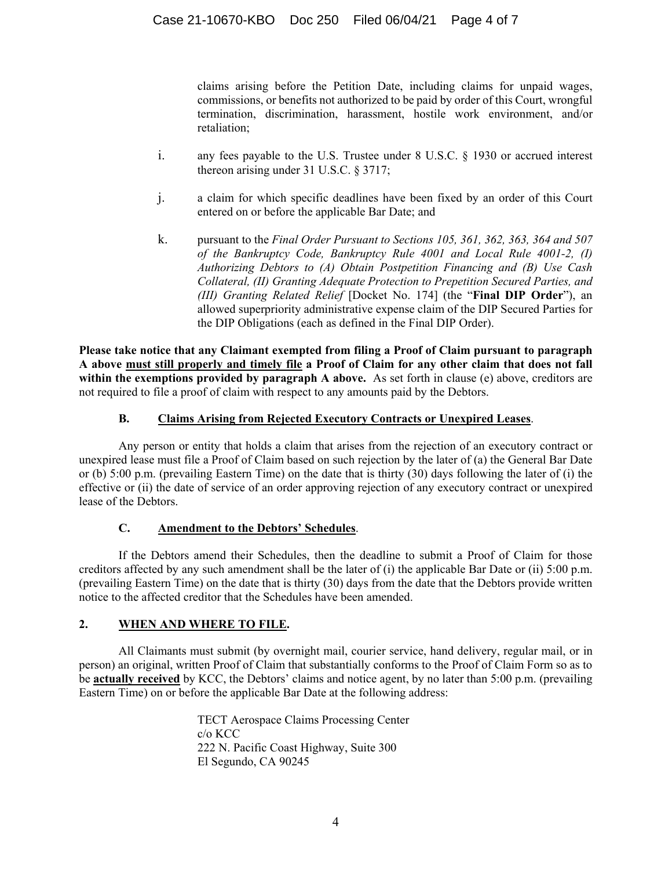claims arising before the Petition Date, including claims for unpaid wages, commissions, or benefits not authorized to be paid by order of this Court, wrongful termination, discrimination, harassment, hostile work environment, and/or retaliation;

- i. any fees payable to the U.S. Trustee under 8 U.S.C. § 1930 or accrued interest thereon arising under 31 U.S.C. § 3717;
- j. a claim for which specific deadlines have been fixed by an order of this Court entered on or before the applicable Bar Date; and
- k. pursuant to the *Final Order Pursuant to Sections 105, 361, 362, 363, 364 and 507 of the Bankruptcy Code, Bankruptcy Rule 4001 and Local Rule 4001-2, (I) Authorizing Debtors to (A) Obtain Postpetition Financing and (B) Use Cash Collateral, (II) Granting Adequate Protection to Prepetition Secured Parties, and (III) Granting Related Relief* [Docket No. 174] (the "**Final DIP Order**"), an allowed superpriority administrative expense claim of the DIP Secured Parties for the DIP Obligations (each as defined in the Final DIP Order).

**Please take notice that any Claimant exempted from filing a Proof of Claim pursuant to paragraph A above must still properly and timely file a Proof of Claim for any other claim that does not fall within the exemptions provided by paragraph A above.** As set forth in clause (e) above, creditors are not required to file a proof of claim with respect to any amounts paid by the Debtors.

# **B. Claims Arising from Rejected Executory Contracts or Unexpired Leases**.

 Any person or entity that holds a claim that arises from the rejection of an executory contract or unexpired lease must file a Proof of Claim based on such rejection by the later of (a) the General Bar Date or (b) 5:00 p.m. (prevailing Eastern Time) on the date that is thirty (30) days following the later of (i) the effective or (ii) the date of service of an order approving rejection of any executory contract or unexpired lease of the Debtors.

# **C. Amendment to the Debtors' Schedules**.

 If the Debtors amend their Schedules, then the deadline to submit a Proof of Claim for those creditors affected by any such amendment shall be the later of (i) the applicable Bar Date or (ii) 5:00 p.m. (prevailing Eastern Time) on the date that is thirty (30) days from the date that the Debtors provide written notice to the affected creditor that the Schedules have been amended.

# **2. WHEN AND WHERE TO FILE.**

 All Claimants must submit (by overnight mail, courier service, hand delivery, regular mail, or in person) an original, written Proof of Claim that substantially conforms to the Proof of Claim Form so as to be **actually received** by KCC, the Debtors' claims and notice agent, by no later than 5:00 p.m. (prevailing Eastern Time) on or before the applicable Bar Date at the following address:

> TECT Aerospace Claims Processing Center c/o KCC 222 N. Pacific Coast Highway, Suite 300 El Segundo, CA 90245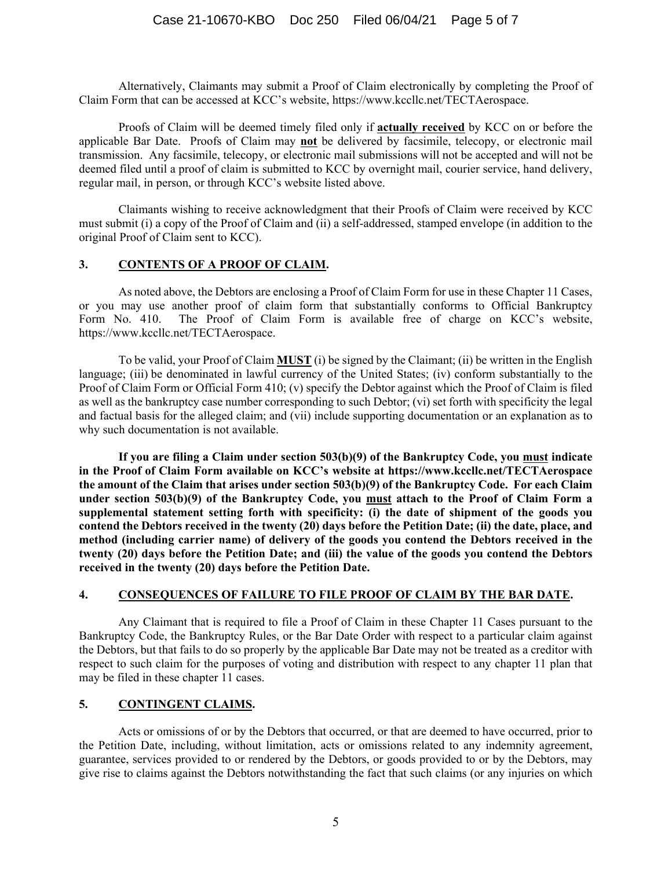Alternatively, Claimants may submit a Proof of Claim electronically by completing the Proof of Claim Form that can be accessed at KCC's website, https://www.kccllc.net/TECTAerospace.

Proofs of Claim will be deemed timely filed only if **actually received** by KCC on or before the applicable Bar Date. Proofs of Claim may **not** be delivered by facsimile, telecopy, or electronic mail transmission. Any facsimile, telecopy, or electronic mail submissions will not be accepted and will not be deemed filed until a proof of claim is submitted to KCC by overnight mail, courier service, hand delivery, regular mail, in person, or through KCC's website listed above.

 Claimants wishing to receive acknowledgment that their Proofs of Claim were received by KCC must submit (i) a copy of the Proof of Claim and (ii) a self-addressed, stamped envelope (in addition to the original Proof of Claim sent to KCC).

#### **3. CONTENTS OF A PROOF OF CLAIM.**

As noted above, the Debtors are enclosing a Proof of Claim Form for use in these Chapter 11 Cases, or you may use another proof of claim form that substantially conforms to Official Bankruptcy Form No. 410. The Proof of Claim Form is available free of charge on KCC's website, https://www.kccllc.net/TECTAerospace.

To be valid, your Proof of Claim **MUST** (i) be signed by the Claimant; (ii) be written in the English language; (iii) be denominated in lawful currency of the United States; (iv) conform substantially to the Proof of Claim Form or Official Form 410; (v) specify the Debtor against which the Proof of Claim is filed as well as the bankruptcy case number corresponding to such Debtor; (vi) set forth with specificity the legal and factual basis for the alleged claim; and (vii) include supporting documentation or an explanation as to why such documentation is not available.

**If you are filing a Claim under section 503(b)(9) of the Bankruptcy Code, you must indicate in the Proof of Claim Form available on KCC's website at https://www.kccllc.net/TECTAerospace the amount of the Claim that arises under section 503(b)(9) of the Bankruptcy Code. For each Claim under section 503(b)(9) of the Bankruptcy Code, you must attach to the Proof of Claim Form a supplemental statement setting forth with specificity: (i) the date of shipment of the goods you contend the Debtors received in the twenty (20) days before the Petition Date; (ii) the date, place, and method (including carrier name) of delivery of the goods you contend the Debtors received in the twenty (20) days before the Petition Date; and (iii) the value of the goods you contend the Debtors received in the twenty (20) days before the Petition Date.** 

#### **4. CONSEQUENCES OF FAILURE TO FILE PROOF OF CLAIM BY THE BAR DATE.**

Any Claimant that is required to file a Proof of Claim in these Chapter 11 Cases pursuant to the Bankruptcy Code, the Bankruptcy Rules, or the Bar Date Order with respect to a particular claim against the Debtors, but that fails to do so properly by the applicable Bar Date may not be treated as a creditor with respect to such claim for the purposes of voting and distribution with respect to any chapter 11 plan that may be filed in these chapter 11 cases.

#### **5. CONTINGENT CLAIMS.**

 Acts or omissions of or by the Debtors that occurred, or that are deemed to have occurred, prior to the Petition Date, including, without limitation, acts or omissions related to any indemnity agreement, guarantee, services provided to or rendered by the Debtors, or goods provided to or by the Debtors, may give rise to claims against the Debtors notwithstanding the fact that such claims (or any injuries on which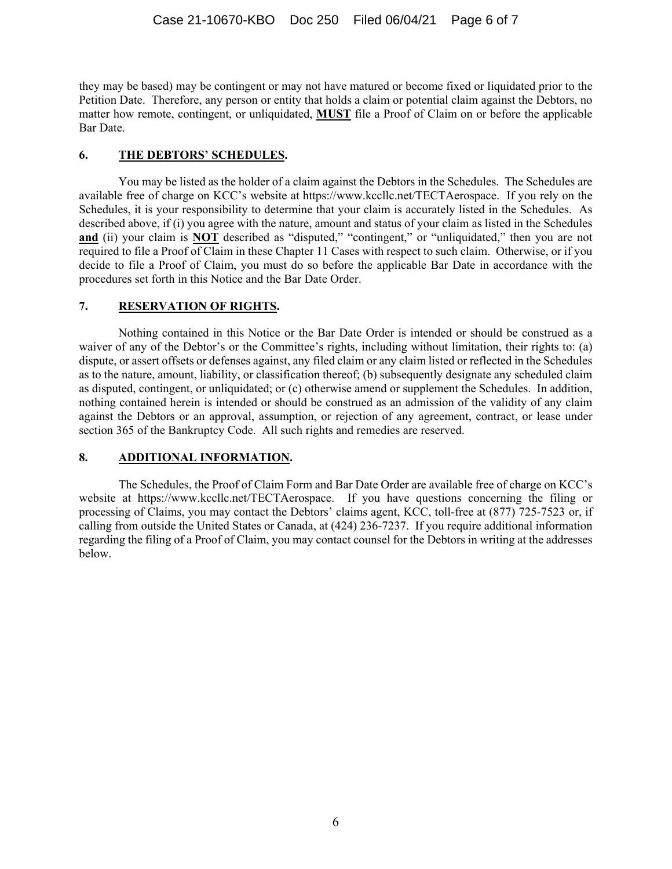they may be based) may be contingent or may not have matured or become fixed or liquidated prior to the Petition Date. Therefore, any person or entity that holds a claim or potential claim against the Debtors, no matter how remote, contingent, or unliquidated, **MUST** file a Proof of Claim on or before the applicable Bar Date.

#### **6. THE DEBTORS' SCHEDULES.**

You may be listed as the holder of a claim against the Debtors in the Schedules. The Schedules are available free of charge on KCC's website at https://www.kccllc.net/TECTAerospace. If you rely on the Schedules, it is your responsibility to determine that your claim is accurately listed in the Schedules. As described above, if (i) you agree with the nature, amount and status of your claim as listed in the Schedules and (ii) your claim is **NOT** described as "disputed," "contingent," or "unliquidated," then you are not required to file a Proof of Claim in these Chapter 11 Cases with respect to such claim. Otherwise, or if you decide to file a Proof of Claim, you must do so before the applicable Bar Date in accordance with the procedures set forth in this Notice and the Bar Date Order.

#### **7. RESERVATION OF RIGHTS.**

 Nothing contained in this Notice or the Bar Date Order is intended or should be construed as a waiver of any of the Debtor's or the Committee's rights, including without limitation, their rights to: (a) dispute, or assert offsets or defenses against, any filed claim or any claim listed or reflected in the Schedules as to the nature, amount, liability, or classification thereof; (b) subsequently designate any scheduled claim as disputed, contingent, or unliquidated; or (c) otherwise amend or supplement the Schedules. In addition, nothing contained herein is intended or should be construed as an admission of the validity of any claim against the Debtors or an approval, assumption, or rejection of any agreement, contract, or lease under section 365 of the Bankruptcy Code. All such rights and remedies are reserved.

# **8. ADDITIONAL INFORMATION.**

The Schedules, the Proof of Claim Form and Bar Date Order are available free of charge on KCC's website at https://www.kccllc.net/TECTAerospace. If you have questions concerning the filing or processing of Claims, you may contact the Debtors' claims agent, KCC, toll-free at (877) 725-7523 or, if calling from outside the United States or Canada, at (424) 236-7237. If you require additional information regarding the filing of a Proof of Claim, you may contact counsel for the Debtors in writing at the addresses below.